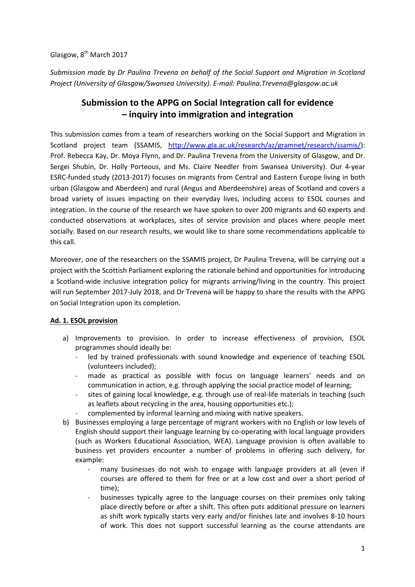## Glasgow, 8<sup>th</sup> March 2017

*Submission made by Dr Paulina Trevena on behalf of the Social Support and Migration in Scotland Project (University of Glasgow/Swansea University). E-mail: Paulina.Trevena@glasgow.ac.uk* 

# **Submission to the APPG on Social Integration call for evidence – inquiry into immigration and integration**

This submission comes from a team of researchers working on the Social Support and Migration in Scotland project team (SSAMIS, http://www.gla.ac.uk/research/az/gramnet/research/ssamis/): Prof. Rebecca Kay, Dr. Moya Flynn, and Dr. Paulina Trevena from the University of Glasgow, and Dr. Sergei Shubin, Dr. Holly Porteous, and Ms. Claire Needler from Swansea University). Our 4-year ESRC-funded study (2013-2017) focuses on migrants from Central and Eastern Europe living in both urban (Glasgow and Aberdeen) and rural (Angus and Aberdeenshire) areas of Scotland and covers a broad variety of issues impacting on their everyday lives, including access to ESOL courses and integration. In the course of the research we have spoken to over 200 migrants and 60 experts and conducted observations at workplaces, sites of service provision and places where people meet socially. Based on our research results, we would like to share some recommendations applicable to this call.

Moreover, one of the researchers on the SSAMIS project, Dr Paulina Trevena, will be carrying out a project with the Scottish Parliament exploring the rationale behind and opportunities for introducing a Scotland-wide inclusive integration policy for migrants arriving/living in the country. This project will run September 2017-July 2018, and Dr Trevena will be happy to share the results with the APPG on Social Integration upon its completion.

### **Ad. 1. ESOL provision**

- a) Improvements to provision. In order to increase effectiveness of provision, ESOL programmes should ideally be:
	- led by trained professionals with sound knowledge and experience of teaching ESOL (volunteers included);
	- made as practical as possible with focus on language learners' needs and on communication in action, e.g. through applying the social practice model of learning;
	- sites of gaining local knowledge, e.g. through use of real-life materials in teaching (such as leaflets about recycling in the area, housing opportunities etc.);
	- complemented by informal learning and mixing with native speakers.
- b) Businesses employing a large percentage of migrant workers with no English or low levels of English should support their language learning by co-operating with local language providers (such as Workers Educational Association, WEA). Language provision is often available to business yet providers encounter a number of problems in offering such delivery, for example:
	- many businesses do not wish to engage with language providers at all (even if courses are offered to them for free or at a low cost and over a short period of time);
	- businesses typically agree to the language courses on their premises only taking place directly before or after a shift. This often puts additional pressure on learners as shift work typically starts very early and/or finishes late and involves 8-10 hours of work. This does not support successful learning as the course attendants are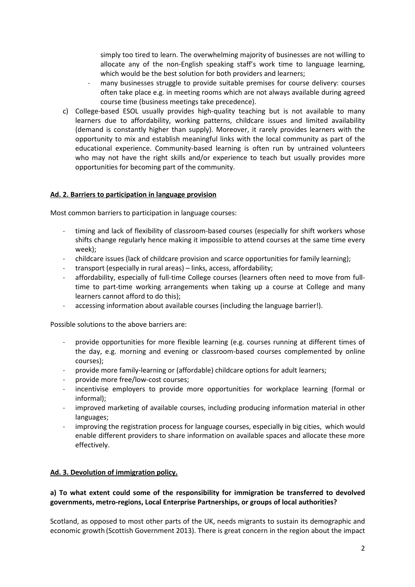simply too tired to learn. The overwhelming majority of businesses are not willing to allocate any of the non-English speaking staff's work time to language learning, which would be the best solution for both providers and learners;

- many businesses struggle to provide suitable premises for course delivery: courses often take place e.g. in meeting rooms which are not always available during agreed course time (business meetings take precedence).
- c) College-based ESOL usually provides high-quality teaching but is not available to many learners due to affordability, working patterns, childcare issues and limited availability (demand is constantly higher than supply). Moreover, it rarely provides learners with the opportunity to mix and establish meaningful links with the local community as part of the educational experience. Community-based learning is often run by untrained volunteers who may not have the right skills and/or experience to teach but usually provides more opportunities for becoming part of the community.

### **Ad. 2. Barriers to participation in language provision**

Most common barriers to participation in language courses:

- timing and lack of flexibility of classroom-based courses (especially for shift workers whose shifts change regularly hence making it impossible to attend courses at the same time every week);
- childcare issues (lack of childcare provision and scarce opportunities for family learning);
- transport (especially in rural areas) links, access, affordability;
- affordability, especially of full-time College courses (learners often need to move from fulltime to part-time working arrangements when taking up a course at College and many learners cannot afford to do this);
- accessing information about available courses (including the language barrier!).

Possible solutions to the above barriers are:

- provide opportunities for more flexible learning (e.g. courses running at different times of the day, e.g. morning and evening or classroom-based courses complemented by online courses);
- provide more family-learning or (affordable) childcare options for adult learners;
- provide more free/low-cost courses;
- incentivise employers to provide more opportunities for workplace learning (formal or informal);
- improved marketing of available courses, including producing information material in other languages;
- improving the registration process for language courses, especially in big cities, which would enable different providers to share information on available spaces and allocate these more effectively.

### **Ad. 3. Devolution of immigration policy.**

### **a) To what extent could some of the responsibility for immigration be transferred to devolved governments, metro-regions, Local Enterprise Partnerships, or groups of local authorities?**

Scotland, as opposed to most other parts of the UK, needs migrants to sustain its demographic and economic growth (Scottish Government 2013). There is great concern in the region about the impact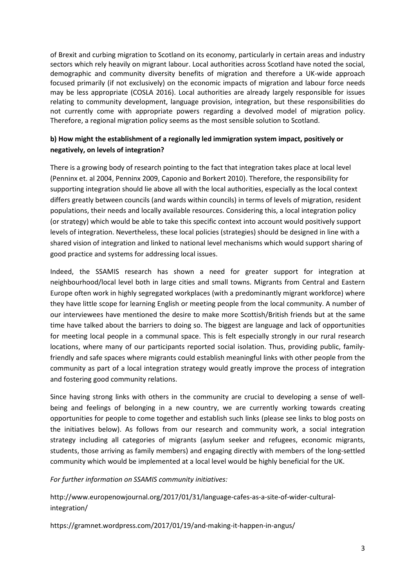of Brexit and curbing migration to Scotland on its economy, particularly in certain areas and industry sectors which rely heavily on migrant labour. Local authorities across Scotland have noted the social, demographic and community diversity benefits of migration and therefore a UK-wide approach focused primarily (if not exclusively) on the economic impacts of migration and labour force needs may be less appropriate (COSLA 2016). Local authorities are already largely responsible for issues relating to community development, language provision, integration, but these responsibilities do not currently come with appropriate powers regarding a devolved model of migration policy. Therefore, a regional migration policy seems as the most sensible solution to Scotland.

## **b) How might the establishment of a regionally led immigration system impact, positively or negatively, on levels of integration?**

There is a growing body of research pointing to the fact that integration takes place at local level (Penninx et. al 2004, Penninx 2009, Caponio and Borkert 2010). Therefore, the responsibility for supporting integration should lie above all with the local authorities, especially as the local context differs greatly between councils (and wards within councils) in terms of levels of migration, resident populations, their needs and locally available resources. Considering this, a local integration policy (or strategy) which would be able to take this specific context into account would positively support levels of integration. Nevertheless, these local policies (strategies) should be designed in line with a shared vision of integration and linked to national level mechanisms which would support sharing of good practice and systems for addressing local issues.

Indeed, the SSAMIS research has shown a need for greater support for integration at neighbourhood/local level both in large cities and small towns. Migrants from Central and Eastern Europe often work in highly segregated workplaces (with a predominantly migrant workforce) where they have little scope for learning English or meeting people from the local community. A number of our interviewees have mentioned the desire to make more Scottish/British friends but at the same time have talked about the barriers to doing so. The biggest are language and lack of opportunities for meeting local people in a communal space. This is felt especially strongly in our rural research locations, where many of our participants reported social isolation. Thus, providing public, familyfriendly and safe spaces where migrants could establish meaningful links with other people from the community as part of a local integration strategy would greatly improve the process of integration and fostering good community relations.

Since having strong links with others in the community are crucial to developing a sense of wellbeing and feelings of belonging in a new country, we are currently working towards creating opportunities for people to come together and establish such links (please see links to blog posts on the initiatives below). As follows from our research and community work, a social integration strategy including all categories of migrants (asylum seeker and refugees, economic migrants, students, those arriving as family members) and engaging directly with members of the long-settled community which would be implemented at a local level would be highly beneficial for the UK.

*For further information on SSAMIS community initiatives:* 

http://www.europenowjournal.org/2017/01/31/language-cafes-as-a-site-of-wider-culturalintegration/

https://gramnet.wordpress.com/2017/01/19/and-making-it-happen-in-angus/